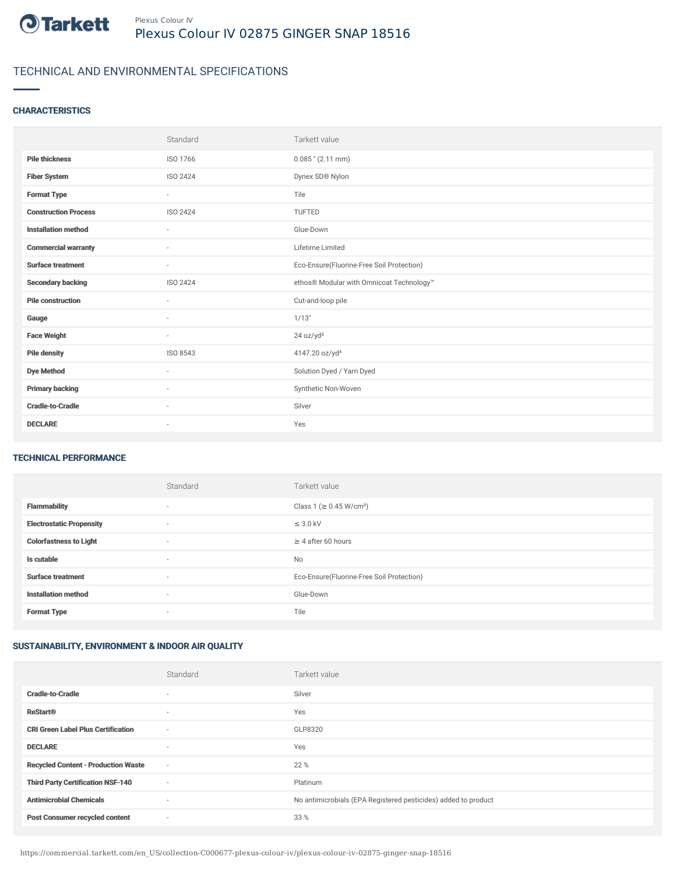

# TECHNICAL AND ENVIRONMENTAL SPECIFICATIONS

### **CHARACTERISTICS**

|                             | Standard                 | Tarkett value                             |
|-----------------------------|--------------------------|-------------------------------------------|
| <b>Pile thickness</b>       | ISO 1766                 | $0.085$ " (2.11 mm)                       |
| <b>Fiber System</b>         | ISO 2424                 | Dynex SD® Nylon                           |
| <b>Format Type</b>          | $\sim$                   | Tile                                      |
| <b>Construction Process</b> | ISO 2424                 | TUFTED                                    |
| <b>Installation method</b>  | $\overline{\phantom{a}}$ | Glue-Down                                 |
| <b>Commercial warranty</b>  | $\sim$                   | Lifetime Limited                          |
| <b>Surface treatment</b>    | $\sim$                   | Eco-Ensure(Fluorine-Free Soil Protection) |
| <b>Secondary backing</b>    | ISO 2424                 | ethos® Modular with Omnicoat Technology™  |
| <b>Pile construction</b>    | $\sim$                   | Cut-and-loop pile                         |
| Gauge                       | $\sim$                   | 1/13"                                     |
| <b>Face Weight</b>          | $\sim$                   | 24 oz/yd <sup>2</sup>                     |
| <b>Pile density</b>         | ISO 8543                 | 4147.20 oz/yd <sup>3</sup>                |
| <b>Dye Method</b>           | ٠                        | Solution Dyed / Yarn Dyed                 |
| <b>Primary backing</b>      | ٠                        | Synthetic Non-Woven                       |
| <b>Cradle-to-Cradle</b>     | $\sim$                   | Silver                                    |
| <b>DECLARE</b>              | $\overline{\phantom{a}}$ | Yes                                       |

#### TECHNICAL PERFORMANCE

|                                 | Standard | Tarkett value                             |
|---------------------------------|----------|-------------------------------------------|
| <b>Flammability</b>             | $\sim$   | Class 1 (≥ 0.45 W/cm <sup>2</sup> )       |
| <b>Electrostatic Propensity</b> | ٠        | $\leq$ 3.0 kV                             |
| <b>Colorfastness to Light</b>   | $\sim$   | $\geq$ 4 after 60 hours                   |
| Is cutable                      | ٠        | No                                        |
| <b>Surface treatment</b>        | ٠        | Eco-Ensure(Fluorine-Free Soil Protection) |
| <b>Installation method</b>      | $\sim$   | Glue-Down                                 |
| <b>Format Type</b>              | ٠        | Tile                                      |

## SUSTAINABILITY, ENVIRONMENT & INDOOR AIR QUALITY

|                                            | Standard                 | Tarkett value                                                  |
|--------------------------------------------|--------------------------|----------------------------------------------------------------|
| <b>Cradle-to-Cradle</b>                    | $\sim$                   | Silver                                                         |
| <b>ReStart®</b>                            | $\sim$                   | Yes                                                            |
| <b>CRI Green Label Plus Certification</b>  | $\overline{\phantom{a}}$ | GLP8320                                                        |
| <b>DECLARE</b>                             | $\sim$                   | Yes                                                            |
| <b>Recycled Content - Production Waste</b> | $\overline{\phantom{a}}$ | 22 %                                                           |
| <b>Third Party Certification NSF-140</b>   | $\sim$                   | Platinum                                                       |
| <b>Antimicrobial Chemicals</b>             | $\sim$                   | No antimicrobials (EPA Registered pesticides) added to product |
| <b>Post Consumer recycled content</b>      | ٠                        | 33 %                                                           |